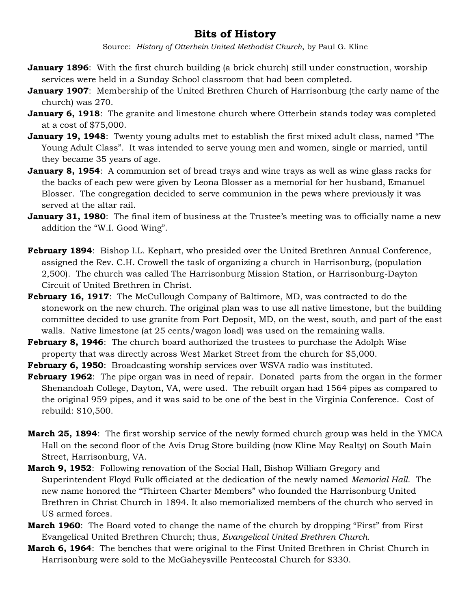## **Bits of History**

Source: *History of Otterbein United Methodist Church*, by Paul G. Kline

- **January 1896**: With the first church building (a brick church) still under construction, worship services were held in a Sunday School classroom that had been completed.
- **January 1907**: Membership of the United Brethren Church of Harrisonburg (the early name of the church) was 270.
- **January 6, 1918**: The granite and limestone church where Otterbein stands today was completed at a cost of \$75,000.
- **January 19, 1948**: Twenty young adults met to establish the first mixed adult class, named "The Young Adult Class". It was intended to serve young men and women, single or married, until they became 35 years of age.
- **January 8, 1954**: A communion set of bread trays and wine trays as well as wine glass racks for the backs of each pew were given by Leona Blosser as a memorial for her husband, Emanuel Blosser. The congregation decided to serve communion in the pews where previously it was served at the altar rail.
- **January 31, 1980**: The final item of business at the Trustee's meeting was to officially name a new addition the "W.I. Good Wing".
- **February 1894**: Bishop I.L. Kephart, who presided over the United Brethren Annual Conference, assigned the Rev. C.H. Crowell the task of organizing a church in Harrisonburg, (population 2,500). The church was called The Harrisonburg Mission Station, or Harrisonburg-Dayton Circuit of United Brethren in Christ.
- **February 16, 1917**: The McCullough Company of Baltimore, MD, was contracted to do the stonework on the new church. The original plan was to use all native limestone, but the building committee decided to use granite from Port Deposit, MD, on the west, south, and part of the east walls. Native limestone (at 25 cents/wagon load) was used on the remaining walls.
- **February 8, 1946**:The church board authorized the trustees to purchase the Adolph Wise property that was directly across West Market Street from the church for \$5,000.
- **February 6, 1950**: Broadcasting worship services over WSVA radio was instituted.
- **February 1962**:The pipe organ was in need of repair. Donated parts from the organ in the former Shenandoah College, Dayton, VA, were used. The rebuilt organ had 1564 pipes as compared to the original 959 pipes, and it was said to be one of the best in the Virginia Conference. Cost of rebuild: \$10,500.
- **March 25, 1894**: The first worship service of the newly formed church group was held in the YMCA Hall on the second floor of the Avis Drug Store building (now Kline May Realty) on South Main Street, Harrisonburg, VA.
- **March 9, 1952**:Following renovation of the Social Hall, Bishop William Gregory and Superintendent Floyd Fulk officiated at the dedication of the newly named *Memorial Hall*. The new name honored the "Thirteen Charter Members" who founded the Harrisonburg United Brethren in Christ Church in 1894. It also memorialized members of the church who served in US armed forces.
- **March 1960**: The Board voted to change the name of the church by dropping "First" from First Evangelical United Brethren Church; thus, *Evangelical United Brethren Church.*
- **March 6, 1964**: The benches that were original to the First United Brethren in Christ Church in Harrisonburg were sold to the McGaheysville Pentecostal Church for \$330.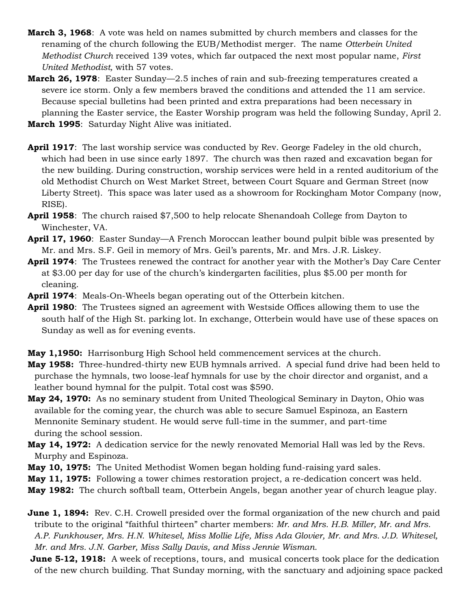- **March 3, 1968**: A vote was held on names submitted by church members and classes for the renaming of the church following the EUB/Methodist merger. The name *Otterbein United Methodist Church* received 139 votes, which far outpaced the next most popular name, *First United Methodist,* with 57 votes.
- **March 26, 1978**: Easter Sunday—2.5 inches of rain and sub-freezing temperatures created a severe ice storm. Only a few members braved the conditions and attended the 11 am service. Because special bulletins had been printed and extra preparations had been necessary in planning the Easter service, the Easter Worship program was held the following Sunday, April 2.
- **March 1995**: Saturday Night Alive was initiated.
- **April 1917**: The last worship service was conducted by Rev. George Fadeley in the old church, which had been in use since early 1897. The church was then razed and excavation began for the new building. During construction, worship services were held in a rented auditorium of the old Methodist Church on West Market Street, between Court Square and German Street (now Liberty Street). This space was later used as a showroom for Rockingham Motor Company (now, RISE).
- **April 1958**: The church raised \$7,500 to help relocate Shenandoah College from Dayton to Winchester, VA.
- **April 17, 1960**: Easter Sunday—A French Moroccan leather bound pulpit bible was presented by Mr. and Mrs. S.F. Geil in memory of Mrs. Geil's parents, Mr. and Mrs. J.R. Liskey.
- **April 1974**: The Trustees renewed the contract for another year with the Mother's Day Care Center at \$3.00 per day for use of the church's kindergarten facilities, plus \$5.00 per month for cleaning.
- **April 1974**: Meals-On-Wheels began operating out of the Otterbein kitchen.
- **April 1980**: The Trustees signed an agreement with Westside Offices allowing them to use the south half of the High St. parking lot. In exchange, Otterbein would have use of these spaces on Sunday as well as for evening events.
- **May 1,1950:** Harrisonburg High School held commencement services at the church.
- **May 1958:** Three-hundred-thirty new EUB hymnals arrived. A special fund drive had been held to purchase the hymnals, two loose-leaf hymnals for use by the choir director and organist, and a leather bound hymnal for the pulpit. Total cost was \$590.
- **May 24, 1970:** As no seminary student from United Theological Seminary in Dayton, Ohio was available for the coming year, the church was able to secure Samuel Espinoza, an Eastern Mennonite Seminary student. He would serve full-time in the summer, and part-time during the school session.
- **May 14, 1972:** A dedication service for the newly renovated Memorial Hall was led by the Revs. Murphy and Espinoza.
- **May 10, 1975:** The United Methodist Women began holding fund-raising yard sales.
- **May 11, 1975:** Following a tower chimes restoration project, a re-dedication concert was held.
- **May 1982:** The church softball team, Otterbein Angels, began another year of church league play.

**June 1, 1894:** Rev. C.H. Crowell presided over the formal organization of the new church and paid tribute to the original "faithful thirteen" charter members: *Mr. and Mrs. H.B. Miller, Mr. and Mrs. A.P. Funkhouser, Mrs. H.N. Whitesel, Miss Mollie Life, Miss Ada Glovier, Mr. and Mrs. J.D. Whitesel, Mr. and Mrs. J.N. Garber, Miss Sally Davis, and Miss Jennie Wisman.*

**June 5-12, 1918:** A week of receptions, tours, and musical concerts took place for the dedication of the new church building. That Sunday morning, with the sanctuary and adjoining space packed